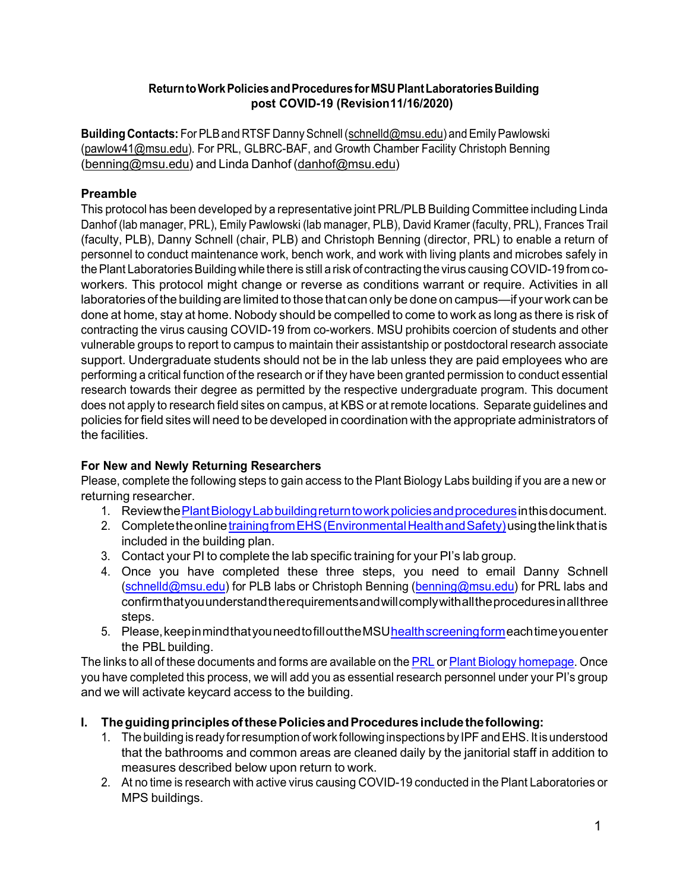#### **ReturntoWorkPoliciesandProceduresforMSUPlantLaboratoriesBuilding post COVID-19 (Revision11/16/2020)**

Building Contacts: For PLB and RTSF Danny Schnell [\(schnelld@msu.edu\)](mailto:schnelld@msu.edu) and Emily Pawlowski [\(pawlow41@msu.edu\)](mailto:pawlow41@msu.edu). For PRL, GLBRC-BAF, and Growth Chamber Facility Christoph Benning [\(benning@msu.edu\)](mailto:benning@msu.edu) and Linda Danhof [\(danhof@msu.edu\)](mailto:danhof@msu.edu)

# **Preamble**

This protocol has been developed by a representative joint PRL/PLB Building Committee including Linda Danhof (lab manager, PRL), Emily Pawlowski (lab manager, PLB), David Kramer (faculty, PRL), Frances Trail (faculty, PLB), Danny Schnell (chair, PLB) and Christoph Benning (director, PRL) to enable a return of personnel to conduct maintenance work, bench work, and work with living plants and microbes safely in the Plant Laboratories Building while there is still a risk of contracting the virus causing COVID-19 from coworkers. This protocol might change or reverse as conditions warrant or require. Activities in all laboratories of the building are limited to those that can only be done on campus—if your work can be done at home, stay at home. Nobody should be compelled to come to work as long as there is risk of contracting the virus causing COVID-19 from co-workers. MSU prohibits coercion of students and other vulnerable groups to report to campus to maintain their assistantship or postdoctoral research associate support. Undergraduate students should not be in the lab unless they are paid employees who are performing a critical function of the research or if they have been granted permission to conduct essential research towards their degree as permitted by the respective undergraduate program. This document does not apply to research field sites on campus, at KBS or at remote locations. Separate guidelines and policies for field sites will need to be developed in coordination with the appropriate administrators of the facilities.

#### **For New and Newly Returning Researchers**

Please, complete the following steps to gain access to the Plant Biology Labs building if you are a new or returning researcher.

- 1. Review the Plant Biology Lab building return to work policies and procedures in this document.
- 2. Complete the online training from EHS (Environmental Health and Safety) using the link that is included in the building plan.
- 3. Contact your PI to complete the lab specific training for your PI's lab group.
- 4. Once you have completed these three steps, you need to email Danny Schnell [\(schnelld@msu.edu\)](mailto:schnelld@msu.edu) for PLB labs or Christoph Benning [\(benning@msu.edu\)](mailto:benning@msu.edu) for PRL labs and confirmthatyouunderstandtherequirementsandwillcomplywithalltheproceduresinallthree steps.
- 5. Please, keep in mind that you need to fill out the MSU health screening formeach time you enter the PBL building.

The links to all of these documents and forms are available on the [PRL](https://prl.natsci.msu.edu/) or Plant Biology [homepage.](https://plantbiology.natsci.msu.edu/) Once you have completed this process, we will add you as essential research personnel under your PI's group and we will activate keycard access to the building.

# **I. TheguidingprinciplesofthesePoliciesandProcedures includethefollowing:**

- 1. The building is ready for resumption of work following inspections by IPF and EHS. It is understood that the bathrooms and common areas are cleaned daily by the janitorial staff in addition to measures described below upon return to work.
- 2. At no time is research with active virus causing COVID-19 conducted in the Plant Laboratories or MPS buildings.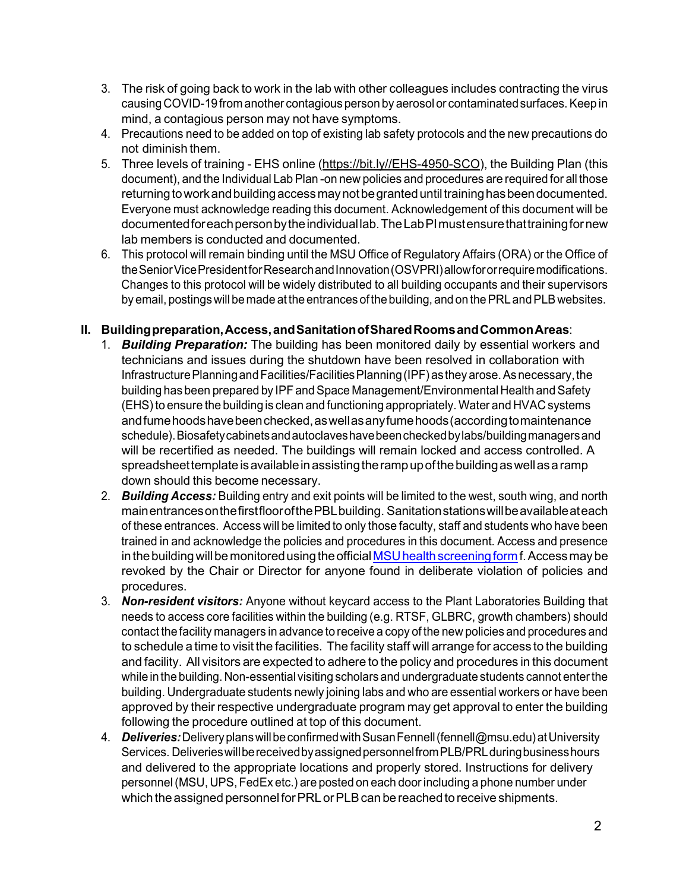- 3. The risk of going back to work in the lab with other colleagues includes contracting the virus causing COVID-19 from another contagious person by aerosol or contaminated surfaces. Keep in mind, a contagious person may not have symptoms.
- 4. Precautions need to be added on top of existing lab safety protocols and the new precautions do not diminish them.
- 5. Three levels of training EHS online [\(https://bit.ly//EHS-4950-SCO\)](https://bit.ly/EHS-4950-SCO), the Building Plan (this document), and the Individual Lab Plan -on new policies and procedures are required for all those returning to work and building access may not be granted until training has been documented. Everyone must acknowledge reading this document. Acknowledgement of this document will be documented for each person by the individual lab. The Lab PI must ensure that training for new lab members is conducted and documented.
- 6. This protocol will remain binding until the MSU Office of Regulatory Affairs (ORA) or the Office of the Senior Vice President for Research and Innovation (OSVPRI) allow for or require modifications. Changes to this protocol will be widely distributed to all building occupants and their supervisors by email, postings will be made at the entrances of the building, and on the PRL and PLB websites.

#### **II. Buildingpreparation,Access,andSanitationofSharedRoomsandCommonAreas**:

- 1. *Building Preparation:* The building has been monitored daily by essential workers and technicians and issues during the shutdown have been resolved in collaboration with Infrastructure Planning and Facilities/Facilities Planning (IPF) as they arose. As necessary, the building has been prepared by IPF and Space Management/Environmental Health and Safety (EHS) to ensure the building is clean and functioning appropriately. Water and HVAC systems andfumehoodshavebeenchecked,aswellasanyfumehoods(accordingtomaintenance schedule).Biosafetycabinetsandautoclaveshavebeencheckedbylabs/buildingmanagersand will be recertified as needed. The buildings will remain locked and access controlled. A spreadsheet template is available in assisting the ramp up of the building as well as a ramp down should this become necessary.
- 2. *Building Access:* Building entry and exit points will be limited to the west, south wing, and north mainentrancesonthefirstfloorofthePBLbuilding. Sanitationstationswillbeavailableateach of these entrances. Access will be limited to only those faculty, staff and students who have been trained in and acknowledge the policies and procedures in this document. Access and presence in the building will be monitored using the official MSU health screening form f. Access may be revoked by the Chair or Director for anyone found in deliberate violation of policies and procedures.
- 3. *Non-resident visitors:* Anyone without keycard access to the Plant Laboratories Building that needs to access core facilities within the building (e.g. RTSF, GLBRC, growth chambers) should contact the facility managers in advance to receive a copy of the new policies and procedures and to schedule a time to visit the facilities. The facility staff will arrange for access to the building and facility. All visitors are expected to adhere to the policy and procedures in this document while in the building. Non-essential visiting scholars and undergraduate students cannot enter the building. Undergraduate students newly joining labs and who are essential workers or have been approved by their respective undergraduate program may get approval to enter the building following the procedure outlined at top of this document.
- 4. *Deliveries:*DeliveryplanswillbeconfirmedwithSusanFennell(fennell@msu.edu)atUniversity Services. DeliverieswillbereceivedbyassignedpersonnelfromPLB/PRLduringbusinesshours and delivered to the appropriate locations and properly stored. Instructions for delivery personnel(MSU, UPS, FedEx etc.) are posted on each doorincluding a phone number under which the assigned personnel for PRL or PLB can be reached to receive shipments.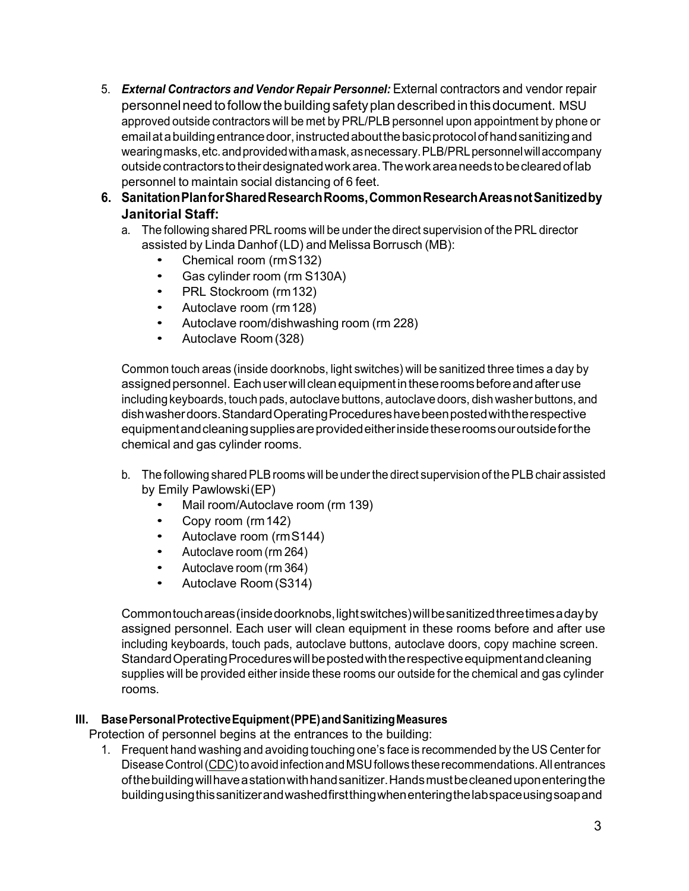- 5. *External Contractors and Vendor Repair Personnel:* External contractors and vendor repair personnelneedtofollowthebuildingsafetyplandescribedinthisdocument. MSU approved outside contractors will be met by PRL/PLB personnel upon appointment by phone or email at a building entrance door, instructed about the basic protocol of hand sanitizing and wearingmasks,etc.andprovidedwithamask,asnecessary.PLB/PRLpersonnelwillaccompany outside contractors to their designated work area. The work area needs to be cleared of lab personnel to maintain social distancing of 6 feet.
- **6. SanitationPlanforSharedResearchRooms,CommonResearchAreasnotSanitizedby Janitorial Staff:**
	- a. The following shared PRL rooms will be under the direct supervision of the PRL director assisted by Linda Danhof (LD) and Melissa Borrusch (MB):
		- *•* Chemical room (rmS132)
		- *•* Gas cylinder room (rm S130A)
		- *•* PRL Stockroom (rm132)
		- *•* Autoclave room (rm128)
		- *•* Autoclave room/dishwashing room (rm 228)
		- *•* Autoclave Room (328)

Common touch areas (inside doorknobs, light switches) will be sanitized three times a day by assigned personnel. Each user will clean equipment in these rooms before and after use including keyboards, touch pads, autoclave buttons, autoclave doors, dish washer buttons, and dishwasherdoors.StandardOperatingProcedureshavebeenpostedwiththerespective equipmentandcleaningsuppliesareprovidedeitherinsidetheseroomsouroutsideforthe chemical and gas cylinder rooms.

- b. The following shared PLB rooms will be under the direct supervision of the PLB chair assisted by Emily Pawlowski(EP)
	- *•* Mail room/Autoclave room (rm 139)
	- *•* Copy room (rm142)
	- *•* Autoclave room (rmS144)
	- *•* Autoclave room (rm 264)
	- *•* Autoclave room (rm 364)
	- *•* Autoclave Room (S314)

Commontouchareas(insidedoorknobs,lightswitches)willbesanitizedthreetimesadayby assigned personnel. Each user will clean equipment in these rooms before and after use including keyboards, touch pads, autoclave buttons, autoclave doors, copy machine screen. Standard Operating Procedures will be posted with the respective equipment and cleaning supplies will be provided either inside these rooms our outside for the chemical and gas cylinder rooms.

#### **III. BasePersonalProtectiveEquipment(PPE)andSanitizingMeasures**

Protection of personnel begins at the entrances to the building:

1. Frequent hand washing and avoiding touching one's face is recommended by the US Center for Disease Control [\(CDC\)](https://www.cdc.gov/coronavirus/2019-ncov/index.html?CDC_AA_refVal=https%3A%2F%2Fwww.cdc.gov%2Fcoronavirus%2Findex.html) to avoid infection and MSU follows these recommendations. All entrances ofthebuildingwillhaveastationwithhandsanitizer.Handsmustbecleaneduponenteringthe buildingusingthissanitizerandwashedfirstthingwhenenteringthelabspaceusingsoapand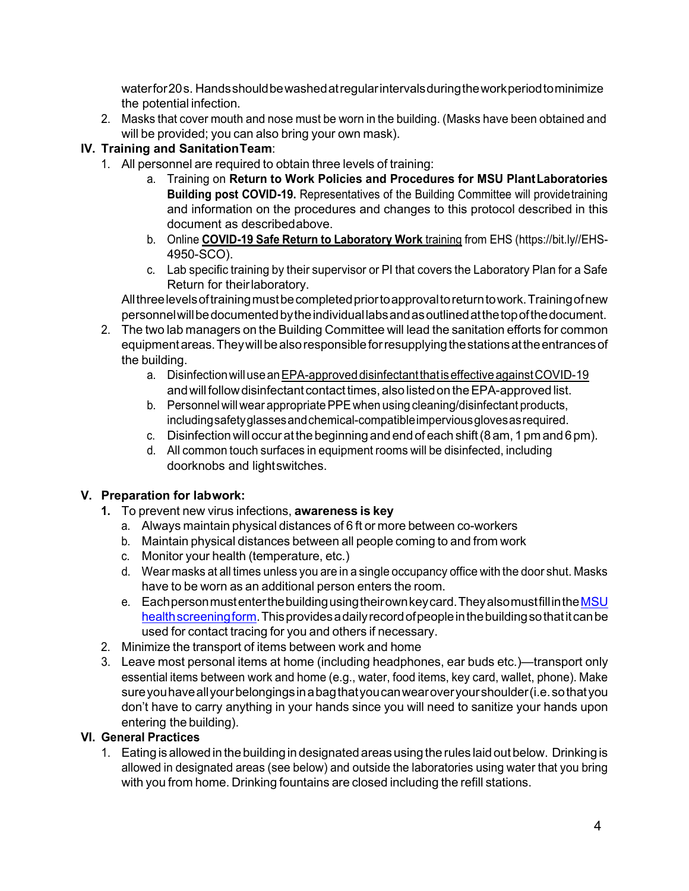waterfor20s. Handsshouldbewashedatregularintervalsduringtheworkperiodtominimize the potential infection.

2. Masks that cover mouth and nose must be worn in the building. (Masks have been obtained and will be provided; you can also bring your own mask).

# **IV. Training and SanitationTeam**:

- 1. All personnel are required to obtain three levels of training:
	- a. Training on **Return to Work Policies and Procedures for MSU PlantLaboratories Building post COVID-19.** Representatives of the Building Committee will providetraining and information on the procedures and changes to this protocol described in this document as describedabove.
	- b. Online **COVID-19 Safe Return to [Laboratory](https://abilitylms.msu.edu/MSU/Programs/Standard/Control/elmLearner.wml?PTM=1) Work** training from EHS (https://bit.ly//EHS-4950-SCO).
	- c. Lab specific training by their supervisor or PI that covers the Laboratory Plan for a Safe Return for theirlaboratory.

Allthreelevelsoftrainingmustbecompletedpriortoapprovaltoreturntowork.Trainingofnew personnelwillbedocumentedbytheindividuallabsandasoutlinedatthetopofthedocument.

- 2. The two lab managers on the Building Committee will lead the sanitation efforts for common equipment areas. They will be also responsible for resupplying the stations at the entrances of the building.
	- a. Disinfectionwillusea[nEPA-approveddisinfectantthatiseffectiveagainstCOVID-19](https://www.epa.gov/pesticide-registration/list-n-disinfectants-use-against-sars-cov-2) and will follow disinfectant contact times, also listed on the EPA-approved list.
	- b. Personnel will wear appropriate PPE when using cleaning/disinfectant products, includingsafetyglassesandchemical-compatibleimperviousglovesasrequired.
	- c. Disinfectionwilloccur atthebeginning and end of each shift(8 am, 1pm and6pm).
	- d. All common touch surfaces in equipment rooms will be disinfected, including doorknobs and lightswitches.

#### **V. Preparation for labwork:**

- **1.** To prevent new virus infections, **awareness is key**
	- a. Always maintain physical distances of 6 ft or more between co-workers
	- b. Maintain physical distances between all people coming to and from work
	- c. Monitor your health (temperature, etc.)
	- d. Wear masks at all times unless you are in a single occupancy office with the door shut. Masks have to be worn as an additional person enters the room.
	- e. Each person mustenter the building using theirown key card. They also must fill in the MSU health screening form. This provides a daily record of people in the building so that it can be used for contact tracing for you and others if necessary.
- 2. Minimize the transport of items between work and home
- 3. Leave most personal items at home (including headphones, ear buds etc.)—transport only essential items between work and home (e.g., water, food items, key card, wallet, phone). Make sureyouhaveallyourbelongingsinabagthatyoucanwearoveryourshoulder(i.e.sothatyou don't have to carry anything in your hands since you will need to sanitize your hands upon entering the building).

#### **VI. General Practices**

1. Eating is allowed in the building in designated areas using the rules laid out below. Drinking is allowed in designated areas (see below) and outside the laboratories using water that you bring with you from home. Drinking fountains are closed including the refill stations.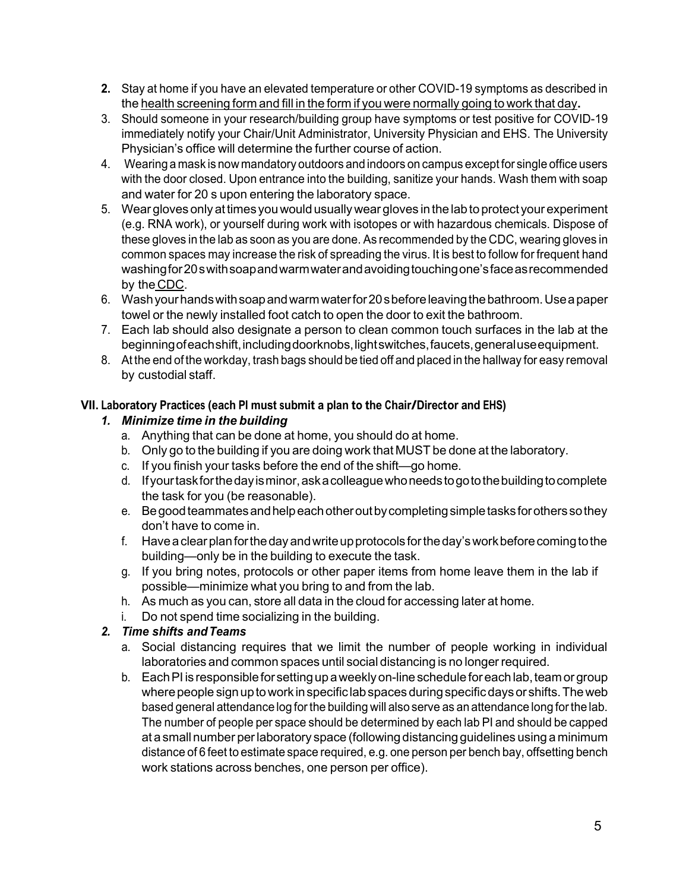- **2.** Stay at home if you have an elevated temperature or other COVID-19 symptoms as described in the health [screening](https://spa.msu.edu/PL/Portal/COVID19/HealthScreeningForm.aspx) form and fill in the form if you were normally going to work that day**.**
- 3. Should someone in your research/building group have symptoms or test positive for COVID-19 immediately notify your Chair/Unit Administrator, University Physician and EHS. The University Physician's office will determine the further course of action.
- 4. Wearing a mask is now mandatory outdoors and indoors on campus except for single office users with the door closed. Upon entrance into the building, sanitize your hands. Wash them with soap and water for 20 s upon entering the laboratory space.
- 5. Wear gloves only attimes youwould usuallywear gloves in the lab to protect your experiment (e.g. RNA work), or yourself during work with isotopes or with hazardous chemicals. Dispose of these gloves in the lab as soon as you are done. As recommended by the CDC, wearing gloves in common spaces may increase the risk of spreading the virus. It is best to follow for frequent hand washingfor20swithsoapandwarmwaterandavoidingtouchingone'sfaceasrecommended by the [CDC.](https://www.cdc.gov/coronavirus/2019-ncov/index.html?CDC_AA_refVal=https%3A%2F%2Fwww.cdc.gov%2Fcoronavirus%2Findex.htm)
- 6. Washyourhandswithsoapandwarmwaterfor20sbeforeleavingthebathroom.Useapaper towel or the newly installed foot catch to open the door to exit the bathroom.
- 7. Each lab should also designate a person to clean common touch surfaces in the lab at the beginning of each shift, including doorknobs, light switches, faucets, general use equipment.
- 8. At the end of the workday, trash bags should be tied off and placed in the hallway for easy removal by custodial staff.

#### **VII. Laboratory Practices (each PI must submit <sup>a</sup> plan to the Chair/Director and EHS)**

## *1. Minimize time in the building*

- a. Anything that can be done at home, you should do at home.
- b. Only go to the building if you are doing work that MUST be done at the laboratory.
- c. If you finish your tasks before the end of the shift—go home.
- d. Ifyourtaskforthedayisminor,askacolleaguewhoneedstogotothebuildingtocomplete the task for you (be reasonable).
- e. Begoodteammatesandhelpeachotheroutbycompletingsimpletasksforotherssothey don't have to come in.
- f. Haveaclearplanfortheday andwriteupprotocols fortheday'sworkbeforecomingtothe building—only be in the building to execute the task.
- g. If you bring notes, protocols or other paper items from home leave them in the lab if possible—minimize what you bring to and from the lab.
- h. As much as you can, store all data in the cloud for accessing later at home.
- i. Do not spend time socializing in the building.

#### *2. Time shifts andTeams*

- a. Social distancing requires that we limit the number of people working in individual laboratories and common spaces until social distancing is no longer required.
- b. Each PI is responsible for setting up a weekly on-line schedule for each lab, team or group where people sign up to work in specific lab spaces during specific days or shifts. The web based general attendance log forthe building will also serve as an attendance long forthe lab. The number of people per space should be determined by each lab PI and should be capped at a small number per laboratory space (following distancing guidelines using a minimum distance of 6 feet to estimate space required, e.g. one person per bench bay, offsetting bench work stations across benches, one person per office).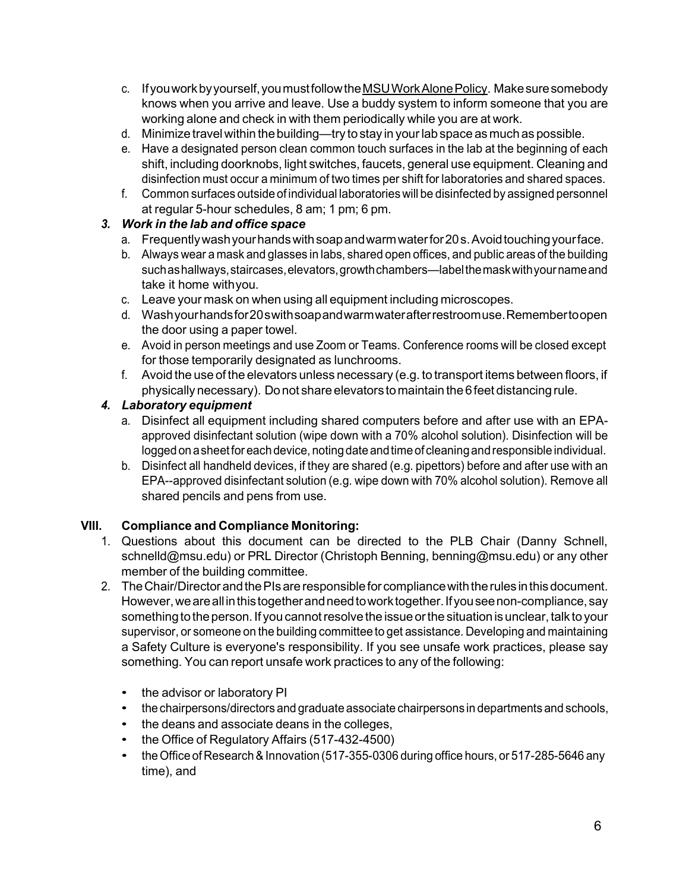- c. Ifyouworkbyyourself,youmustfollowth[eMSUWorkAlonePolicy.](https://ehs.msu.edu/lab-clinic/chem/working-alone.html) Makesuresomebody knows when you arrive and leave. Use a buddy system to inform someone that you are working alone and check in with them periodically while you are at work.
- d. Minimize travelwithin thebuilding—try to stay in yourlab space as much as possible.
- e. Have a designated person clean common touch surfaces in the lab at the beginning of each shift, including doorknobs, light switches, faucets, general use equipment. Cleaning and disinfection must occur a minimum of two times per shift for laboratories and shared spaces.
- f. Common surfaces outside of individual laboratories will be disinfected by assigned personnel at regular 5-hour schedules, 8 am; 1 pm; 6 pm.

## *3. Work in the lab and office space*

- a. Frequentlywashyourhandswithsoapandwarmwaterfor20s.Avoidtouchingyourface.
- b. Always wear a mask and glasses in labs, shared open offices, and public areas of the building such as hallways, staircases, elevators, growth chambers—label the mask with your name and take it home withyou.
- c. Leave your mask on when using all equipment including microscopes.
- d. Washyourhandsfor20swithsoapandwarmwaterafterrestroomuse.Remembertoopen the door using a paper towel.
- e. Avoid in person meetings and use Zoom or Teams. Conference rooms will be closed except for those temporarily designated as lunchrooms.
- f. Avoid the use of the elevators unless necessary (e.g. to transport items between floors, if physically necessary). Do not share elevators tomaintain the 6feet distancing rule.

#### *4. Laboratory equipment*

- a. Disinfect all equipment including shared computers before and after use with an EPAapproved disinfectant solution (wipe down with a 70% alcohol solution). Disinfection will be logged on a sheet for each device, noting date and time of cleaning and responsible individual.
- b. Disinfect all handheld devices, if they are shared (e.g. pipettors) before and after use with an EPA--approved disinfectant solution (e.g. wipe down with 70% alcohol solution). Remove all shared pencils and pens from use.

#### **VIII. Compliance and Compliance Monitoring:**

- 1. Questions about this document can be directed to the PLB Chair (Danny Schnell, schnelld@msu.edu) or PRL Director (Christoph Benning, benning@msu.edu) or any other member of the building committee.
- 2. The Chair/Director and the PIs are responsible for compliance with the rules in this document. However, we are all in this together and need to work together. If you see non-compliance, say something to the person. If you cannot resolve the issue or the situation is unclear, talk to your supervisor, or someone on the building committee to get assistance. Developing and maintaining a Safety Culture is everyone's responsibility. If you see unsafe work practices, please say something. You can report unsafe work practices to any of the following:
	- the advisor or laboratory PI
	- thechairpersons/directors and graduate associate chairpersons in departments and schools,
	- the deans and associate deans in the colleges,
	- the Office of Regulatory Affairs (517-432-4500)
	- the Office of Research & Innovation (517-355-0306 during office hours, or 517-285-5646 any time), and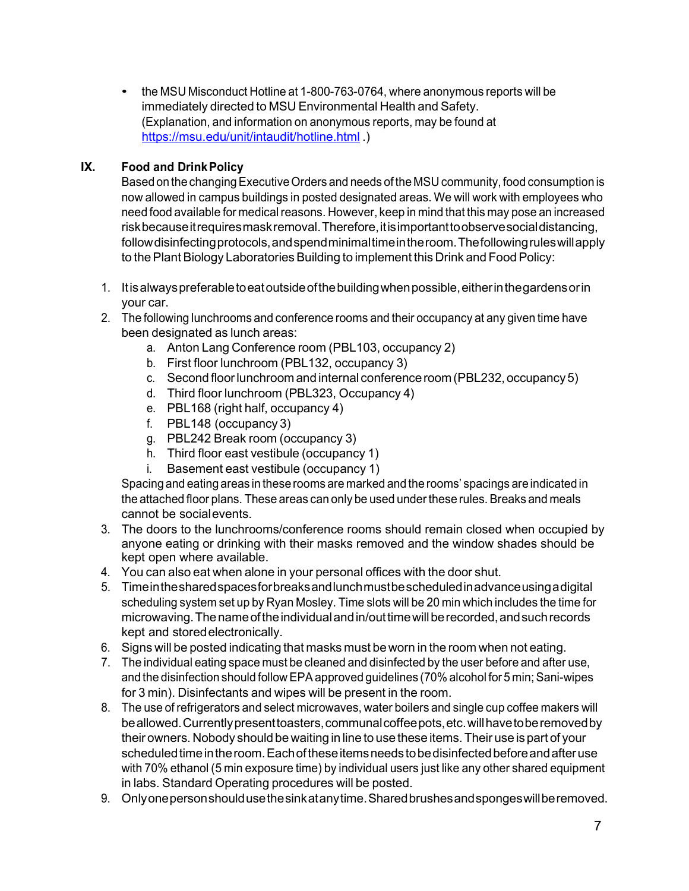• the MSU Misconduct Hotline at 1-800-763-0764, where anonymous reports will be immediately directed to MSU Environmental Health and Safety. (Explanation, and information on anonymous reports, may be found at <https://msu.edu/unit/intaudit/hotline.html> )

## **IX. Food and DrinkPolicy**

Based on the changing Executive Orders and needs of the MSU community, food consumption is now allowed in campus buildings in posted designated areas. We will work with employees who need food available for medical reasons. However, keep in mind that this may pose an increased riskbecauseitrequiresmaskremoval.Therefore,itisimportanttoobservesocialdistancing, followdisinfectingprotocols,andspendminimaltimeintheroom.Thefollowingruleswillapply to the Plant Biology Laboratories Building to implement this Drink and Food Policy:

- 1. Itisalwayspreferabletoeatoutsideofthebuildingwhenpossible,eitherinthegardensorin your car.
- 2. The following lunchrooms and conference rooms and their occupancy at any given time have been designated as lunch areas:
	- a. Anton Lang Conference room (PBL103, occupancy 2)
	- b. First floor lunchroom (PBL132, occupancy 3)
	- c. Second floorlunchroom and internal conferenceroom(PBL232,occupancy5)
	- d. Third floor lunchroom (PBL323, Occupancy 4)
	- e. PBL168 (right half, occupancy 4)
	- f. PBL148 (occupancy 3)
	- g. PBL242 Break room (occupancy 3)
	- h. Third floor east vestibule (occupancy 1)
	- i. Basement east vestibule (occupancy 1)

Spacing and eating areas in these rooms are marked and the rooms' spacings are indicated in the attached floor plans. These areas can only be used under these rules. Breaks and meals cannot be socialevents.

- 3. The doors to the lunchrooms/conference rooms should remain closed when occupied by anyone eating or drinking with their masks removed and the window shades should be kept open where available.
- 4. You can also eat when alone in your personal offices with the door shut.
- 5. Timeinthesharedspacesforbreaksandlunchmustbescheduledinadvanceusingadigital scheduling system set up by Ryan Mosley. Time slots will be 20 min which includes the time for microwaving. The name of the individual and in/out time will be recorded, and such records kept and storedelectronically.
- 6. Signs will be posted indicating that masks must beworn in the room when not eating.
- 7. The individual eating space must be cleaned and disinfected by the user before and after use, and the disinfection should follow EPA approved guidelines (70% alcohol for 5 min; Sani-wipes for 3 min). Disinfectants and wipes will be present in the room.
- 8. The use of refrigerators and select microwaves, water boilers and single cup coffee makers will beallowed.Currentlypresenttoasters,communalcoffeepots,etc.willhavetoberemovedby their owners. Nobody should be waiting in line to use these items.Their use ispart of your scheduled time in the room. Each of these items needs to be disinfected before and after use with 70% ethanol (5 min exposure time) by individual users just like any other shared equipment in labs. Standard Operating procedures will be posted.
- 9. Onlyonepersonshouldusethesinkatanytime.Sharedbrushesandspongeswillberemoved.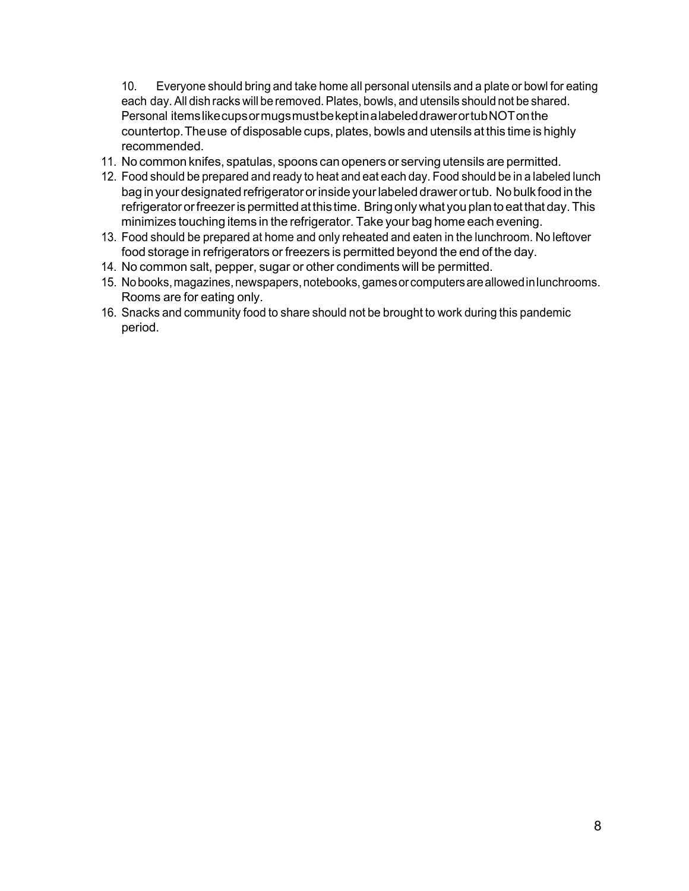10. Everyone should bring and take home all personal utensils and a plate or bowl for eating each day. All dish racks will be removed. Plates, bowls, and utensils should not be shared. Personal itemslikecupsormugsmustbekeptinalabeleddrawerortubNOTonthe countertop.Theuse of disposable cups, plates, bowls and utensils at this time is highly recommended.

- 11. No common knifes, spatulas, spoons can openers or serving utensils are permitted.
- 12. Food should be prepared and ready to heat and eat each day. Food should be in a labeled lunch bag in yourdesignatedrefrigeratororinside yourlabeled drawerortub. Nobulk foodin the refrigerator or freezer is permitted at this time. Bring only what you plan to eat that day. This minimizes touching items in the refrigerator. Take your bag home each evening.
- 13. Food should be prepared at home and only reheated and eaten in the lunchroom. No leftover food storage in refrigerators or freezers is permitted beyond the end of the day.
- 14. No common salt, pepper, sugar or other condiments will be permitted.
- 15. No books, magazines, newspapers, notebooks, games or computers are allowed in lunchrooms. Rooms are for eating only.
- 16. Snacks and community food to share should not be brought to work during this pandemic period.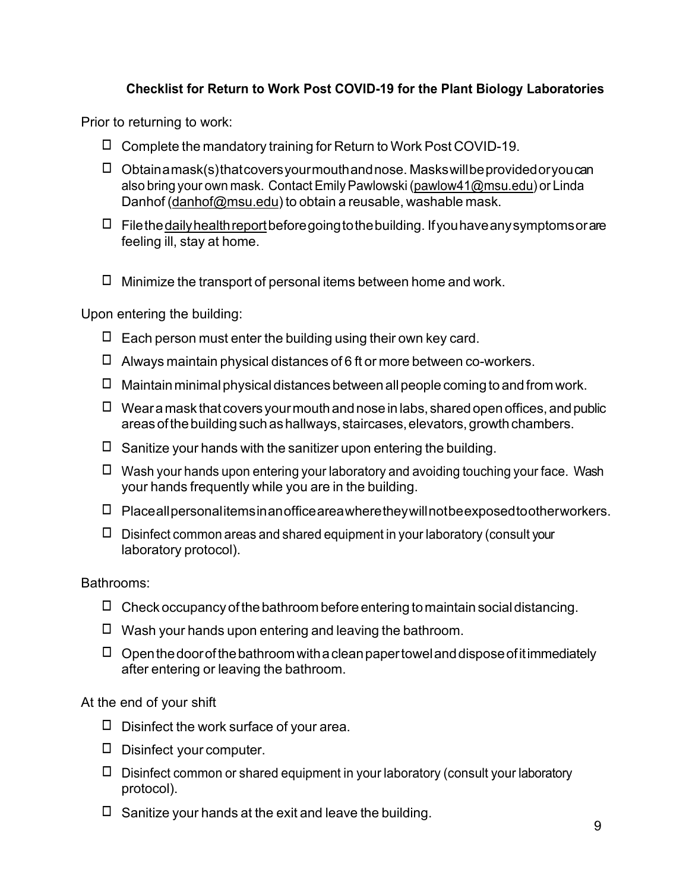# **Checklist for Return to Work Post COVID-19 for the Plant Biology Laboratories**

Prior to returning to work:

- $\Box$  Complete the mandatory training for Return to Work Post COVID-19.
- ◻ Obtainamask(s)thatcoversyourmouthandnose. Maskswillbeprovidedoryoucan also bring your own mask. Contact Emily Pawlowski [\(pawlow41@msu.edu\)](mailto:pawlow41@msu.edu) or Linda Danhof [\(danhof@msu.edu\)](mailto:danhof@msu.edu) to obtain a reusable, washable mask.
- $\Box$  Filethedaily health report before going to the building. If you have any symptoms or are feeling ill, stay at home.
- $\Box$  Minimize the transport of personal items between home and work.

Upon entering the building:

- $\Box$  Each person must enter the building using their own key card.
- $\Box$  Always maintain physical distances of 6 ft or more between co-workers.
- $\Box$  Maintain minimal physical distances between all people coming to and from work.
- $\Box$  Weara mask that covers your mouth and nose in labs, shared open offices, and public areas of the building such as hallways, staircases, elevators, growth chambers.
- $\Box$  Sanitize your hands with the sanitizer upon entering the building.
- $\Box$  Wash your hands upon entering your laboratory and avoiding touching your face. Wash your hands frequently while you are in the building.
- ◻ Placeallpersonalitemsinanofficeareawheretheywillnotbeexposedtootherworkers.
- $\Box$  Disinfect common areas and shared equipment in your laboratory (consult your laboratory protocol).

#### Bathrooms:

- $\Box$  Check occupancy of the bathroom before entering to maintain social distancing.
- $\Box$  Wash your hands upon entering and leaving the bathroom.
- $\Box$  Open the door of the bathroom with a clean paper towel and dispose of it immediately after entering or leaving the bathroom.

At the end of your shift

- $\Box$  Disinfect the work surface of your area.
- ◻ Disinfect your computer.
- $\Box$  Disinfect common or shared equipment in your laboratory (consult your laboratory protocol).
- $\Box$  Sanitize your hands at the exit and leave the building.